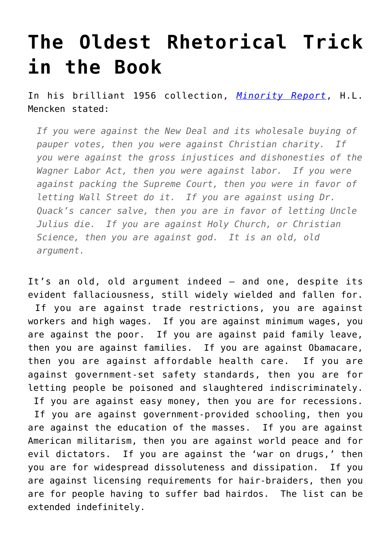## **[The Oldest Rhetorical Trick](https://intellectualtakeout.org/2017/01/the-oldest-rhetorical-trick-in-the-book/) [in the Book](https://intellectualtakeout.org/2017/01/the-oldest-rhetorical-trick-in-the-book/)**

In his brilliant 1956 collection, *[Minority Report](https://www.amazon.com/Minority-Report-Maryland-Paperback-Bookshelf/dp/0801885337/ref=sr_1_1?ie=UTF8&qid=1320674045&sr=8-1)*, H.L. Mencken stated:

*If you were against the New Deal and its wholesale buying of pauper votes, then you were against Christian charity. If you were against the gross injustices and dishonesties of the Wagner Labor Act, then you were against labor. If you were against packing the Supreme Court, then you were in favor of letting Wall Street do it. If you are against using Dr. Quack's cancer salve, then you are in favor of letting Uncle Julius die. If you are against Holy Church, or Christian Science, then you are against god. It is an old, old argument.*

It's an old, old argument indeed – and one, despite its evident fallaciousness, still widely wielded and fallen for. If you are against trade restrictions, you are against workers and high wages. If you are against minimum wages, you are against the poor. If you are against paid family leave, then you are against families. If you are against Obamacare, then you are against affordable health care. If you are against government-set safety standards, then you are for letting people be poisoned and slaughtered indiscriminately. If you are against easy money, then you are for recessions. If you are against government-provided schooling, then you are against the education of the masses. If you are against American militarism, then you are against world peace and for evil dictators. If you are against the 'war on drugs,' then you are for widespread dissoluteness and dissipation. If you are against licensing requirements for hair-braiders, then you are for people having to suffer bad hairdos. The list can be extended indefinitely.